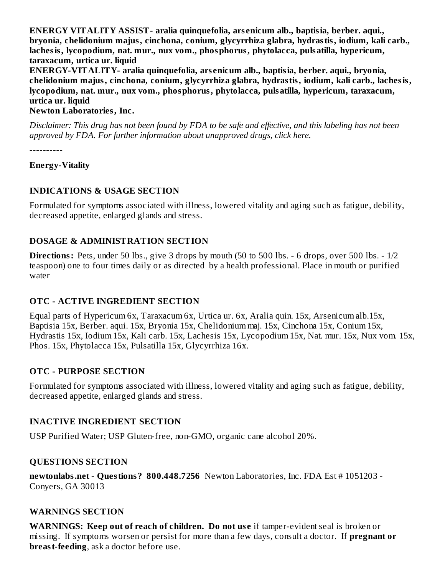**ENERGY VITALITY ASSIST- aralia quinquefolia, ars enicum alb., baptisia, berber. aqui., bryonia, chelidonium majus, cinchona, conium, glycyrrhiza glabra, hydrastis, iodium, kali carb., lachesis, lycopodium, nat. mur., nux vom., phosphorus, phytolacca, pulsatilla, hypericum, taraxacum, urtica ur. liquid**

**ENERGY-VITALITY- aralia quinquefolia, ars enicum alb., baptisia, berber. aqui., bryonia, chelidonium majus, cinchona, conium, glycyrrhiza glabra, hydrastis, iodium, kali carb., lachesis, lycopodium, nat. mur., nux vom., phosphorus, phytolacca, pulsatilla, hypericum, taraxacum, urtica ur. liquid**

#### **Newton Laboratories, Inc.**

Disclaimer: This drug has not been found by FDA to be safe and effective, and this labeling has not been *approved by FDA. For further information about unapproved drugs, click here.*

----------

#### **Energy-Vitality**

# **INDICATIONS & USAGE SECTION**

Formulated for symptoms associated with illness, lowered vitality and aging such as fatigue, debility, decreased appetite, enlarged glands and stress.

# **DOSAGE & ADMINISTRATION SECTION**

**Directions:** Pets, under 50 lbs., give 3 drops by mouth (50 to 500 lbs. - 6 drops, over 500 lbs. - 1/2 teaspoon) one to four times daily or as directed by a health professional. Place in mouth or purified water

# **OTC - ACTIVE INGREDIENT SECTION**

Equal parts of Hypericum 6x, Taraxacum 6x, Urtica ur. 6x, Aralia quin. 15x, Arsenicum alb.15x, Baptisia 15x, Berber. aqui. 15x, Bryonia 15x, Chelidonium maj. 15x, Cinchona 15x, Conium 15x, Hydrastis 15x, Iodium 15x, Kali carb. 15x, Lachesis 15x, Lycopodium 15x, Nat. mur. 15x, Nux vom. 15x, Phos. 15x, Phytolacca 15x, Pulsatilla 15x, Glycyrrhiza 16x.

# **OTC - PURPOSE SECTION**

Formulated for symptoms associated with illness, lowered vitality and aging such as fatigue, debility, decreased appetite, enlarged glands and stress.

# **INACTIVE INGREDIENT SECTION**

USP Purified Water; USP Gluten-free, non-GMO, organic cane alcohol 20%.

# **QUESTIONS SECTION**

**newtonlabs.net - Questions? 800.448.7256** Newton Laboratories, Inc. FDA Est # 1051203 - Conyers, GA 30013

# **WARNINGS SECTION**

**WARNINGS: Keep out of reach of children. Do not us e** if tamper-evident seal is broken or missing. If symptoms worsen or persist for more than a few days, consult a doctor. If **pregnant or breast-feeding**, ask a doctor before use.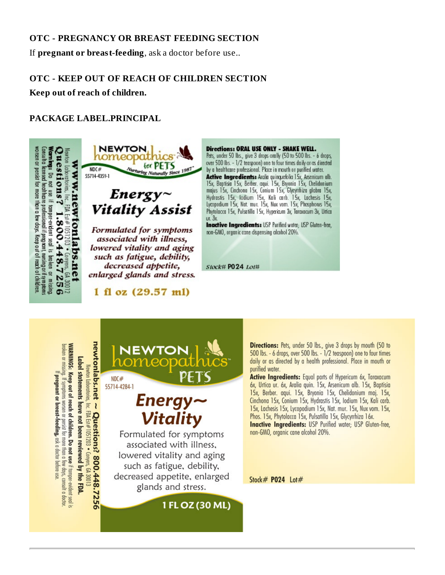#### **OTC - PREGNANCY OR BREAST FEEDING SECTION**

If **pregnant or breast-feeding**, ask a doctor before use..

# **OTC - KEEP OUT OF REACH OF CHILDREN SECTION**

**Keep out of reach of children.**

#### **PACKAGE LABEL.PRINCIPAL**





Formulated for symptoms associated with illness, lowered vitality and aging such as fatigue, debility, decreased appetite, enlarged glands and stress.

 $1 \text{ fl oz } (29.57 \text{ ml})$ 

Directions: ORAL USE ONLY - SHAKE WELL. Pets, under 50 lbs., give 3 drops orally (50 to 500 lbs. - 6 drops, over 500 lbs. - 1/2 teaspoon) one to four times daily or as directed by a healthcare professional. Place in mouth or purified water. **Active Ingredients:** Aralia quinquefolia 1 Sx, Arsenicum alb.<br>1 Sx, Baptisia 1 Sx, Berber. aqui. 1 Sx, Bryania 1 Sx, Chelidonium<br>majus 1 Sx, Cinchona 1 Sx, Conium 1 Sx, Glycyrthiza glabra 1 Sx, Hydrastis 15x, Iodium 15x, Kali carb. 15x, Lachesis 15x, Lycopodium 15x, Nat. mur. 15x, Nux vom. 15x, Phosphorus 15x, Phytolacca 15x, Pulsatilla 15x, Hypericum 3x, Taraxacum 3x, Untica  $ur. 3x$ 

**Inactive Ingredients: USP Purified water: USP Gluten-free.** non-GMO, organic cane dispensing alcohol 20%.

Stock# P024 Lot#

**newtonlabs.net**  $\sim$  **Questions? 800.448.7256**<br>Newtonlabs.net  $\sim$  Questions? 800.448.7256 WARNINGS: Keep out of reach of children. Do not use if tamper-evident seal is oroken or missing. If symptoms worsen or persist for more than a few days, consult a doctor Label statements have not been reviewed by the FDA. If pregnant or breast-feeding, ask a doctor before use



lowered vitality and aging such as fatigue, debility, decreased appetite, enlarged glands and stress.

1 FL OZ (30 ML)

Directions: Pets, under 50 lbs., give 3 drops by mouth (50 to 500 lbs. - 6 drops, over 500 lbs. - 1/2 teaspoon) one to four times daily or as directed by a health professional. Place in mouth or purified water.

Active Ingredients: Equal parts of Hypericum 6x, Taraxacum 6x, Urtica ur. 6x, Aralia quin. 15x, Arsenicum alb. 15x, Baptisia 15x, Berber. agui. 15x, Bryonia 15x, Chelidonium maj. 15x, Cinchona 15x, Conium 15x, Hydrastis 15x, Iodium 15x, Kali carb. 15x, Lachesis 15x, Lycopodium 15x, Nat. mur. 15x, Nux vom. 15x, Phos. 15x, Phytolacca 15x, Pulsatilla 15x, Glycyrrhiza 16x. **Inactive Ingredients:** USP Purified water; USP Gluten-free,

non-GMO, organic cane alcohol 20%.

Stock# P024 Lot#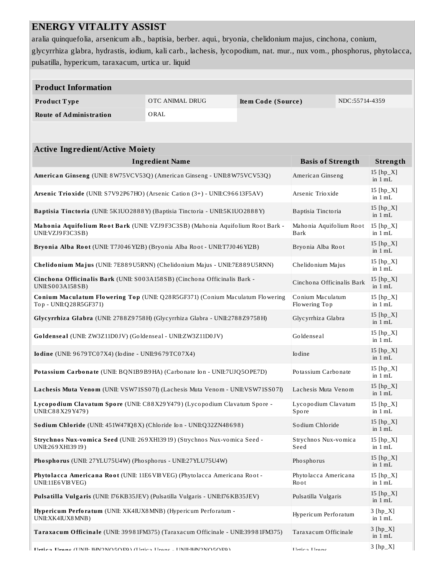# **ENERGY VITALITY ASSIST**

aralia quinquefolia, arsenicum alb., baptisia, berber. aqui., bryonia, chelidonium majus, cinchona, conium, glycyrrhiza glabra, hydrastis, iodium, kali carb., lachesis, lycopodium, nat. mur., nux vom., phosphorus, phytolacca, pulsatilla, hypericum, taraxacum, urtica ur. liquid

| pulsatilla, hypericum, taraxacum, urtica ur. liquid                                                                                          |                        |  |                                 |            |                          |  |  |
|----------------------------------------------------------------------------------------------------------------------------------------------|------------------------|--|---------------------------------|------------|--------------------------|--|--|
|                                                                                                                                              |                        |  |                                 |            |                          |  |  |
| <b>Product Information</b>                                                                                                                   |                        |  |                                 |            |                          |  |  |
| OTC ANIMAL DRUG<br>Product Type<br>Item Code (Source)                                                                                        |                        |  | NDC:55714-4359                  |            |                          |  |  |
| <b>Route of Administration</b>                                                                                                               | ORAL                   |  |                                 |            |                          |  |  |
|                                                                                                                                              |                        |  |                                 |            |                          |  |  |
| <b>Active Ingredient/Active Moiety</b>                                                                                                       |                        |  |                                 |            |                          |  |  |
|                                                                                                                                              | <b>Ingredient Name</b> |  | <b>Basis of Strength</b>        |            | Strength                 |  |  |
| American Ginseng (UNII: 8W75VCV53Q) (American Ginseng - UNII:8W75VCV53Q)                                                                     |                        |  | American Ginseng                |            | $15$ [hp_X]<br>in $1 mL$ |  |  |
| Arsenic Trioxide (UNII: S7V92P67HO) (Arsenic Cation (3+) - UNII:C96613F5AV)                                                                  |                        |  | Arsenic Trioxide                |            | $15$ [hp_X]<br>in $1 mL$ |  |  |
| Baptisia Tinctoria (UNII: 5K1UO2888Y) (Baptisia Tinctoria - UNII:5K1UO2888Y)                                                                 |                        |  | Baptisia Tinctoria              |            | 15 $[hp_X]$<br>in 1 mL   |  |  |
| Mahonia Aquifolium Root Bark (UNII: VZJ9F3C3SB) (Mahonia Aquifolium Root Bark -<br>UNII: VZJ9F3C3SB)                                         |                        |  | Mahonia Aquifolium Root<br>Bark |            | 15 [hp_X]<br>in $1 mL$   |  |  |
| Bryonia Alba Root (UNII: T7J046YI2B) (Bryonia Alba Root - UNII:T7J046YI2B)                                                                   |                        |  | Bryonia Alba Root               |            | 15 $[hp_X]$<br>in $1 mL$ |  |  |
| Chelidonium Majus (UNII: 7E889U5RNN) (Chelidonium Majus - UNII:7E889U5RNN)<br>Chelidonium Majus                                              |                        |  |                                 |            |                          |  |  |
| Cinchona Officinalis Bark (UNII: S003A158SB) (Cinchona Officinalis Bark -<br>Cinchona Officinalis Bark<br>UNII:S003A158SB)                   |                        |  |                                 |            |                          |  |  |
| Conium Maculatum<br>Conium Maculatum Flowering Top (UNII: Q28R5GF371) (Conium Maculatum Flowering<br>Top - UNII:Q28R5GF371)<br>Flowering Top |                        |  |                                 |            | 15 [hp_X]<br>in 1 mL     |  |  |
| Glycyrrhiza Glabra (UNII: 2788Z9758H) (Glycyrrhiza Glabra - UNII:2788Z9758H)<br>Glycyrrhiza Glabra                                           |                        |  |                                 |            |                          |  |  |
| Goldenseal<br>Goldenseal (UNII: ZW3Z11D0JV) (Goldenseal - UNII:ZW3Z11D0JV)                                                                   |                        |  |                                 |            |                          |  |  |
| Iodine (UNII: 9679TC07X4) (Iodine - UNII:9679TC07X4)<br>Io dine                                                                              |                        |  |                                 |            |                          |  |  |
| Potassium Carbonate (UNII: BQN1B9B9HA) (Carbonate Ion - UNII:7UJQ5OPE7D)<br>Potassium Carbonate                                              |                        |  |                                 |            | 15 [hp_X]<br>in $1 mL$   |  |  |
| Lachesis Muta Venom (UNII: VSW71SS07I) (Lachesis Muta Venom - UNII:VSW71SS07I)<br>Lachesis Muta Venom                                        |                        |  |                                 |            | 15 $[hp_X]$<br>in $1$ mL |  |  |
| Lycopodium Clavatum Spore (UNII: C88X29Y479) (Lycopodium Clavatum Spore -<br>Lycopodium Clavatum<br>UNII:C88X29Y479)<br>Spore                |                        |  |                                 |            | $15$ [hp_X]<br>in $1 mL$ |  |  |
| Sodium Chloride<br>Sodium Chloride (UNII: 451W47IQ8X) (Chloride Ion - UNII:Q32ZN48698)                                                       |                        |  |                                 |            | 15 $[hp_X]$<br>in 1 mL   |  |  |
| Strychnos Nux-vomica Seed (UNII: 269 XH13919) (Strychnos Nux-vomica Seed -<br>Strychnos Nux-vomica<br>UNII:269 XH139 19)<br>Seed             |                        |  |                                 |            | 15 $[hp_X]$<br>in $1 mL$ |  |  |
| Phosphorus (UNII: 27YLU75U4W) (Phosphorus - UNII:27YLU75U4W)<br>Phosphorus                                                                   |                        |  |                                 |            | $15$ [hp_X]<br>in 1 mL   |  |  |
| Phytolacca Americana Root (UNII: 11E6VI8VEG) (Phytolacca Americana Root -<br>Phytolacca Americana<br>UNII:11E6 VI8 VEG)<br><b>Root</b>       |                        |  |                                 |            | 15 [hp_X]<br>in $1 mL$   |  |  |
| Pulsatilla Vulgaris<br>Pulsatilla Vulgaris (UNII: 176KB35JEV) (Pulsatilla Vulgaris - UNII:176KB35JEV)                                        |                        |  |                                 |            | $15$ [hp_X]<br>in 1 mL   |  |  |
| Hypericum Perforatum (UNII: XK4IUX8MNB) (Hypericum Perforatum -<br>Hypericum Perforatum<br>UNII:XK4IUX8MNB)                                  |                        |  |                                 |            | $3 [hp_X]$<br>in 1 mL    |  |  |
| Taraxacum Officinale (UNII: 39981FM375) (Taraxacum Officinale - UNII:39981FM375)<br>Taraxacum Officinale                                     |                        |  |                                 |            | $3 [hp_X]$<br>in 1 mL    |  |  |
| Ilvtica Hrane (HMIL IHMONO5OEQ) (Hrtica Hrane - HMILIHMONO5OEQ)<br><b>Hetica</b> Heane                                                       |                        |  |                                 | $3 [hp_X]$ |                          |  |  |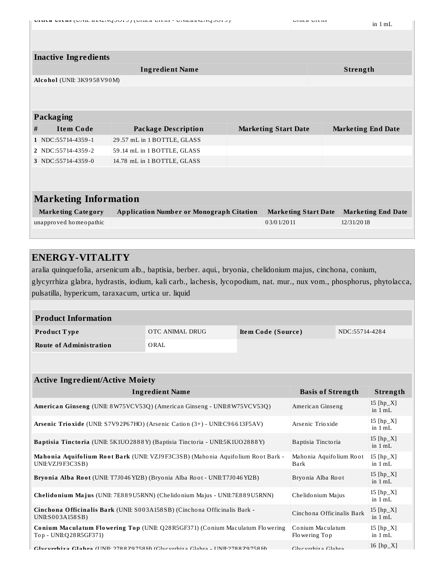| <b>DITICE DIETIS (DIATE HEATIMADALE) (OITICE DIETIS - DIATETEMADALES)</b> |  |
|---------------------------------------------------------------------------|--|
|---------------------------------------------------------------------------|--|

16 [hp\_X]

|                              | <b>Inactive Ingredients</b> |                                                 |  |                             |  |                           |
|------------------------------|-----------------------------|-------------------------------------------------|--|-----------------------------|--|---------------------------|
|                              |                             | <b>Ingredient Name</b>                          |  |                             |  | Strength                  |
|                              | Alcohol (UNII: 3K9958V90M)  |                                                 |  |                             |  |                           |
|                              |                             |                                                 |  |                             |  |                           |
|                              |                             |                                                 |  |                             |  |                           |
|                              | <b>Packaging</b>            |                                                 |  |                             |  |                           |
| #                            | <b>Item Code</b>            | <b>Package Description</b>                      |  | <b>Marketing Start Date</b> |  | <b>Marketing End Date</b> |
|                              | 1 NDC:55714-4359-1          | 29.57 mL in 1 BOTTLE, GLASS                     |  |                             |  |                           |
|                              | 2   NDC:55714-4359-2        | 59.14 mL in 1 BOTTLE, GLASS                     |  |                             |  |                           |
|                              | 3 NDC:55714-4359-0          | 14.78 mL in 1 BOTTLE, GLASS                     |  |                             |  |                           |
|                              |                             |                                                 |  |                             |  |                           |
|                              |                             |                                                 |  |                             |  |                           |
| <b>Marketing Information</b> |                             |                                                 |  |                             |  |                           |
|                              | <b>Marketing Category</b>   | <b>Application Number or Monograph Citation</b> |  | <b>Marketing Start Date</b> |  | <b>Marketing End Date</b> |
|                              | unapproved homeopathic      |                                                 |  | 0.3/0.1/20.11               |  | 12/31/2018                |
|                              |                             |                                                 |  |                             |  |                           |

#### **ENERGY-VITALITY**

aralia quinquefolia, arsenicum alb., baptisia, berber. aqui., bryonia, chelidonium majus, cinchona, conium, glycyrrhiza glabra, hydrastis, iodium, kali carb., lachesis, lycopodium, nat. mur., nux vom., phosphorus, phytolacca, pulsatilla, hypericum, taraxacum, urtica ur. liquid

| <b>Product Information</b>                                                                                                                          |                    |  |                          |  |                          |  |
|-----------------------------------------------------------------------------------------------------------------------------------------------------|--------------------|--|--------------------------|--|--------------------------|--|
| OTC ANIMAL DRUG<br>Product Type<br>Item Code (Source)                                                                                               |                    |  | NDC:55714-4284           |  |                          |  |
| <b>Route of Administration</b><br>ORAL                                                                                                              |                    |  |                          |  |                          |  |
|                                                                                                                                                     |                    |  |                          |  |                          |  |
| <b>Active Ingredient/Active Moiety</b>                                                                                                              |                    |  |                          |  |                          |  |
| <b>Basis of Strength</b><br><b>Ingredient Name</b><br>Strength                                                                                      |                    |  |                          |  |                          |  |
| American Ginseng (UNII: 8W75VCV53Q) (American Ginseng - UNII:8W75VCV53Q)                                                                            | American Ginseng   |  | 15 $[hp_X]$<br>in $1 mL$ |  |                          |  |
| Arsenic Trioxide (UNII: S7V92P67HO) (Arsenic Cation (3+) - UNII:C96613F5AV)                                                                         | Arsenic Trioxide   |  | 15 $[hp_X]$<br>in $1 mL$ |  |                          |  |
| Baptisia Tinctoria (UNII: 5K1UO2888Y) (Baptisia Tinctoria - UNII:5K1UO2888Y)                                                                        | Baptisia Tinctoria |  | 15 $[hp_X]$<br>in $1 mL$ |  |                          |  |
| Mahonia Aquifolium Root Bark (UNII: VZJ9F3C3SB) (Mahonia Aquifolium Root Bark -<br>Mahonia Aquifolium Root<br>UNII: VZJ9F3C3SB)<br>Bark             |                    |  |                          |  | 15 [hp_X]<br>in $1 mL$   |  |
| Bryonia Alba Root (UNII: T7J046 YI2B) (Bryonia Alba Root - UNII: T7J046 YI2B)                                                                       | Bryonia Alba Root  |  | 15 $[hp_X]$<br>in $1 mL$ |  |                          |  |
| Chelidonium Majus (UNII: 7E889U5RNN) (Chelidonium Majus - UNII:7E889U5RNN)<br>Chelidonium Majus                                                     |                    |  |                          |  | 15 [hp_X]<br>in $1 mL$   |  |
| Cinchona Officinalis Bark (UNII: S003A158SB) (Cinchona Officinalis Bark -<br>Cinchona Officinalis Bark<br>UNII:S003A158SB)                          |                    |  |                          |  | 15 [hp_X]<br>in $1 mL$   |  |
| <b>Conium Maculatum Flowering Top (UNII: Q28R5GF371) (Conium Maculatum Flowering</b><br>Conium Maculatum<br>Top - UNII:Q28R5GF371)<br>Flowering Top |                    |  |                          |  | 15 $[hp_X]$<br>in $1 mL$ |  |

**Glycyrrhiza Gla bra** (UNII: 278 8Z9 758H) (Glycyrrhiza Glabra - UNII:278 8Z9 758H) Glycyrrhiza Glabra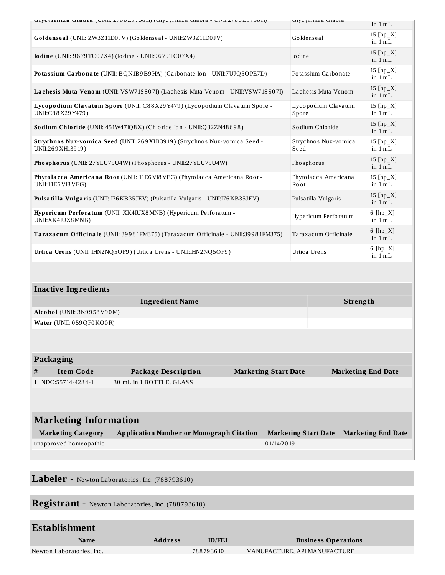| GIACALININA GIANIA (UNIL 2700 LJ 700 II) (GIACALININA GIANIA - UNIL 2700 LJ 700 II)               |                                                                                |                             | Gilenting Grand<br>in $1 mL$ |                          |  |
|---------------------------------------------------------------------------------------------------|--------------------------------------------------------------------------------|-----------------------------|------------------------------|--------------------------|--|
|                                                                                                   | Goldenseal (UNII: ZW3Z11D0JV) (Goldenseal - UNII:ZW3Z11D0JV)                   |                             | Goldenseal                   | 15 $[hp_X]$<br>in $1 mL$ |  |
| <b>Iodine</b> (UNII: 9679TC07X4) (Iodine - UNII:9679TC07X4)                                       |                                                                                |                             | Io dine                      | 15 $[hp_X]$<br>in $1 mL$ |  |
| Potassium Carbonate (UNII: BQN1B9B9HA) (Carbonate Ion - UNII:7UJQ5OPE7D)                          |                                                                                |                             | Potassium Carbonate          | $15$ [hp_X]<br>in $1 mL$ |  |
|                                                                                                   | Lachesis Muta Venom (UNII: VSW71SS07I) (Lachesis Muta Venom - UNII:VSW71SS07I) |                             | Lachesis Muta Venom          | $15$ [hp_X]<br>in $1 mL$ |  |
| UNII:C88X29Y479)                                                                                  | Lycopodium Clavatum Spore (UNII: C88X29Y479) (Lycopodium Clavatum Spore -      |                             | Lycopodium Clavatum<br>Spore | 15 $[hp_X]$<br>in $1 mL$ |  |
|                                                                                                   | Sodium Chloride (UNII: 451W47IQ8X) (Chloride Ion - UNII:Q32ZN48698)            |                             | Sodium Chloride              | 15 $[hp_X]$<br>in $1 mL$ |  |
| UNII:269 XH139 19)                                                                                | Strychnos Nux-vomica Seed (UNII: 269 XH13919) (Strychnos Nux-vomica Seed -     | Seed                        | Strychnos Nux-vomica         | 15 $[hp_X]$<br>in 1 mL   |  |
|                                                                                                   | Phosphorus (UNII: 27YLU75U4W) (Phosphorus - UNII:27YLU75U4W)                   |                             | Phosphorus                   | 15 $[hp_X]$<br>in $1 mL$ |  |
| Phytolacca Americana Root (UNII: 11E6 VI8 VEG) (Phytolacca Americana Root -<br>UNII:11E6 VI8 VEG) |                                                                                |                             | Phytolacca Americana<br>Root | 15 $[hp_X]$<br>in $1 mL$ |  |
| Pulsatilla Vulgaris (UNII: 176 KB35JEV) (Pulsatilla Vulgaris - UNII:176 KB35JEV)                  |                                                                                |                             | Pulsatilla Vulgaris          | 15 $[hp_X]$<br>in $1 mL$ |  |
| Hypericum Perforatum (UNII: XK4IUX8MNB) (Hypericum Perforatum -<br>UNII: XK4IUX8 MNB)             |                                                                                |                             | Hypericum Perforatum         | $6$ [hp_X]<br>in $1 mL$  |  |
| Taraxacum Officinale (UNII: 39981FM375) (Taraxacum Officinale - UNII:39981FM375)                  |                                                                                |                             | Taraxacum Officinale         | 6 $[hp_X]$<br>in 1 mL    |  |
| Urtica Urens (UNII: IHN2NQ5OF9) (Urtica Urens - UNII:IHN2NQ5OF9)                                  |                                                                                |                             | Urtica Urens                 | $6$ [hp_X]<br>in $1 mL$  |  |
|                                                                                                   |                                                                                |                             |                              |                          |  |
| <b>Inactive Ingredients</b>                                                                       |                                                                                |                             |                              |                          |  |
| <b>Ingredient Name</b>                                                                            |                                                                                |                             | Strength                     |                          |  |
| Alcohol (UNII: 3K9958V90M)                                                                        |                                                                                |                             |                              |                          |  |
| Water (UNII: 059QF0KO0R)                                                                          |                                                                                |                             |                              |                          |  |
|                                                                                                   |                                                                                |                             |                              |                          |  |
| Packaging                                                                                         |                                                                                |                             |                              |                          |  |
| <b>Item Code</b><br>#                                                                             | <b>Package Description</b>                                                     | <b>Marketing Start Date</b> | <b>Marketing End Date</b>    |                          |  |
| 1   NDC:55714-4284-1                                                                              | 30 mL in 1 BOTTLE, GLASS                                                       |                             |                              |                          |  |

| <b>Marketing Information</b> |                                                 |                             |                           |  |
|------------------------------|-------------------------------------------------|-----------------------------|---------------------------|--|
| <b>Marketing Category</b>    | <b>Application Number or Monograph Citation</b> | <b>Marketing Start Date</b> | <b>Marketing End Date</b> |  |
| unapproved homeopathic       |                                                 | 01/14/2019                  |                           |  |
|                              |                                                 |                             |                           |  |

**Labeler -** Newton Laboratories, Inc. (788793610)

**Registrant -** Newton Laboratories, Inc. (788793610)

| Establishment             |                |               |                              |
|---------------------------|----------------|---------------|------------------------------|
| <b>Name</b>               | <b>Address</b> | <b>ID/FEI</b> | <b>Business Operations</b>   |
| Newton Laboratories, Inc. |                | 788793610     | MANUFACTURE. API MANUFACTURE |